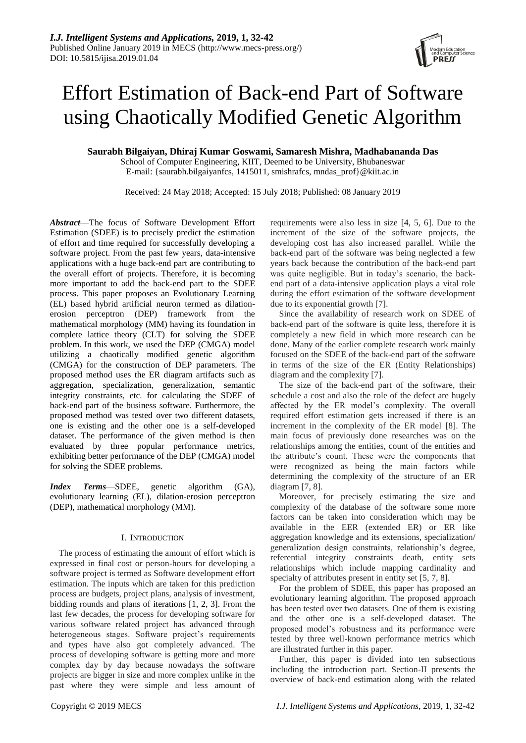# Effort Estimation of Back-end Part of Software using Chaotically Modified Genetic Algorithm

**Saurabh Bilgaiyan, Dhiraj Kumar Goswami, Samaresh Mishra, Madhabananda Das**

School of Computer Engineering, KIIT, Deemed to be University, Bhubaneswar E-mail: {saurabh.bilgaiyanfcs, 1415011, smishrafcs, mndas\_prof}@kiit.ac.in

Received: 24 May 2018; Accepted: 15 July 2018; Published: 08 January 2019

*Abstract*—The focus of Software Development Effort Estimation (SDEE) is to precisely predict the estimation of effort and time required for successfully developing a software project. From the past few years, data-intensive applications with a huge back-end part are contributing to the overall effort of projects. Therefore, it is becoming more important to add the back-end part to the SDEE process. This paper proposes an Evolutionary Learning (EL) based hybrid artificial neuron termed as dilationerosion perceptron (DEP) framework from the mathematical morphology (MM) having its foundation in complete lattice theory (CLT) for solving the SDEE problem. In this work, we used the DEP (CMGA) model utilizing a chaotically modified genetic algorithm (CMGA) for the construction of DEP parameters. The proposed method uses the ER diagram artifacts such as aggregation, specialization, generalization, semantic integrity constraints, etc. for calculating the SDEE of back-end part of the business software. Furthermore, the proposed method was tested over two different datasets, one is existing and the other one is a self-developed dataset. The performance of the given method is then evaluated by three popular performance metrics, exhibiting better performance of the DEP (CMGA) model for solving the SDEE problems.

*Index Terms*—SDEE, genetic algorithm (GA), evolutionary learning (EL), dilation-erosion perceptron (DEP), mathematical morphology (MM).

# I. INTRODUCTION

The process of estimating the amount of effort which is expressed in final cost or person-hours for developing a software project is termed as Software development effort estimation. The inputs which are taken for this prediction process are budgets, project plans, analysis of investment, bidding rounds and plans of iterations [1, 2, 3]. From the last few decades, the process for developing software for various software related project has advanced through heterogeneous stages. Software project's requirements and types have also got completely advanced. The process of developing software is getting more and more complex day by day because nowadays the software projects are bigger in size and more complex unlike in the past where they were simple and less amount of requirements were also less in size [4, 5, 6]. Due to the increment of the size of the software projects, the developing cost has also increased parallel. While the back-end part of the software was being neglected a few years back because the contribution of the back-end part was quite negligible. But in today's scenario, the backend part of a data-intensive application plays a vital role during the effort estimation of the software development due to its exponential growth [7].

Since the availability of research work on SDEE of back-end part of the software is quite less, therefore it is completely a new field in which more research can be done. Many of the earlier complete research work mainly focused on the SDEE of the back-end part of the software in terms of the size of the ER (Entity Relationships) diagram and the complexity [7].

The size of the back-end part of the software, their schedule a cost and also the role of the defect are hugely affected by the ER model's complexity. The overall required effort estimation gets increased if there is an increment in the complexity of the ER model [8]. The main focus of previously done researches was on the relationships among the entities, count of the entities and the attribute's count. These were the components that were recognized as being the main factors while determining the complexity of the structure of an ER diagram [7, 8].

Moreover, for precisely estimating the size and complexity of the database of the software some more factors can be taken into consideration which may be available in the EER (extended ER) or ER like aggregation knowledge and its extensions, specialization/ generalization design constraints, relationship's degree, referential integrity constraints death, entity sets relationships which include mapping cardinality and specialty of attributes present in entity set [5, 7, 8].

For the problem of SDEE, this paper has proposed an evolutionary learning algorithm. The proposed approach has been tested over two datasets. One of them is existing and the other one is a self-developed dataset. The proposed model's robustness and its performance were tested by three well-known performance metrics which are illustrated further in this paper.

Further, this paper is divided into ten subsections including the introduction part. Section-II presents the overview of back-end estimation along with the related

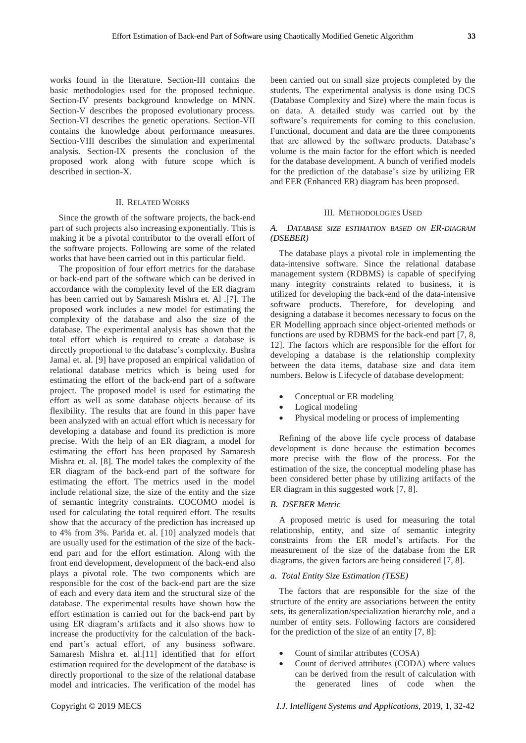works found in the literature. Section-III contains the basic methodologies used for the proposed technique. Section-IV presents background knowledge on MNN. Section-V describes the proposed evolutionary process. Section-VI describes the genetic operations. Section-VII contains the knowledge about performance measures. Section-VIII describes the simulation and experimental analysis. Section-IX presents the conclusion of the proposed work along with future scope which is described in section-X.

#### II. RELATED WORKS

Since the growth of the software projects, the back-end part of such projects also increasing exponentially. This is making it be a pivotal contributor to the overall effort of the software projects. Following are some of the related works that have been carried out in this particular field.

The proposition of four effort metrics for the database or back-end part of the software which can be derived in accordance with the complexity level of the ER diagram has been carried out by Samaresh Mishra et. Al .[7]. The proposed work includes a new model for estimating the complexity of the database and also the size of the database. The experimental analysis has shown that the total effort which is required to create a database is directly proportional to the database's complexity. Bushra Jamal et. al. [9] have proposed an empirical validation of relational database metrics which is being used for estimating the effort of the back-end part of a software project. The proposed model is used for estimating the effort as well as some database objects because of its flexibility. The results that are found in this paper have been analyzed with an actual effort which is necessary for developing a database and found its prediction is more precise. With the help of an ER diagram, a model for estimating the effort has been proposed by Samaresh Mishra et. al. [8]. The model takes the complexity of the ER diagram of the back-end part of the software for estimating the effort. The metrics used in the model include relational size, the size of the entity and the size of semantic integrity constraints. COCOMO model is used for calculating the total required effort. The results show that the accuracy of the prediction has increased up to 4% from 3%. Parida et. al. [10] analyzed models that are usually used for the estimation of the size of the backend part and for the effort estimation. Along with the front end development, development of the back-end also plays a pivotal role. The two components which are responsible for the cost of the back-end part are the size of each and every data item and the structural size of the database. The experimental results have shown how the effort estimation is carried out for the back-end part by using ER diagram's artifacts and it also shows how to increase the productivity for the calculation of the backend part's actual effort, of any business software. Samaresh Mishra et. al.[11] identified that for effort estimation required for the development of the database is directly proportional to the size of the relational database model and intricacies. The verification of the model has

been carried out on small size projects completed by the students. The experimental analysis is done using DCS (Database Complexity and Size) where the main focus is on data. A detailed study was carried out by the software's requirements for coming to this conclusion. Functional, document and data are the three components that are allowed by the software products. Database's volume is the main factor for the effort which is needed for the database development. A bunch of verified models for the prediction of the database's size by utilizing ER and EER (Enhanced ER) diagram has been proposed.

#### III. METHODOLOGIES USED

## *A. DATABASE SIZE ESTIMATION BASED ON ER-DIAGRAM (DSEBER)*

The database plays a pivotal role in implementing the data-intensive software. Since the relational database management system (RDBMS) is capable of specifying many integrity constraints related to business, it is utilized for developing the back-end of the data-intensive software products. Therefore, for developing and designing a database it becomes necessary to focus on the ER Modelling approach since object-oriented methods or functions are used by RDBMS for the back-end part [7, 8, 12]. The factors which are responsible for the effort for developing a database is the relationship complexity between the data items, database size and data item numbers. Below is Lifecycle of database development:

- Conceptual or ER modeling
- Logical modeling
- Physical modeling or process of implementing

Refining of the above life cycle process of database development is done because the estimation becomes more precise with the flow of the process. For the estimation of the size, the conceptual modeling phase has been considered better phase by utilizing artifacts of the ER diagram in this suggested work [7, 8].

#### *B. DSEBER Metric*

A proposed metric is used for measuring the total relationship, entity, and size of semantic integrity constraints from the ER model's artifacts. For the measurement of the size of the database from the ER diagrams, the given factors are being considered [7, 8].

## *a. Total Entity Size Estimation (TESE)*

The factors that are responsible for the size of the structure of the entity are associations between the entity sets, its generalization/specialization hierarchy role, and a number of entity sets. Following factors are considered for the prediction of the size of an entity [7, 8]:

- Count of similar attributes (COSA)
- Count of derived attributes (CODA) where values can be derived from the result of calculation with the generated lines of code when the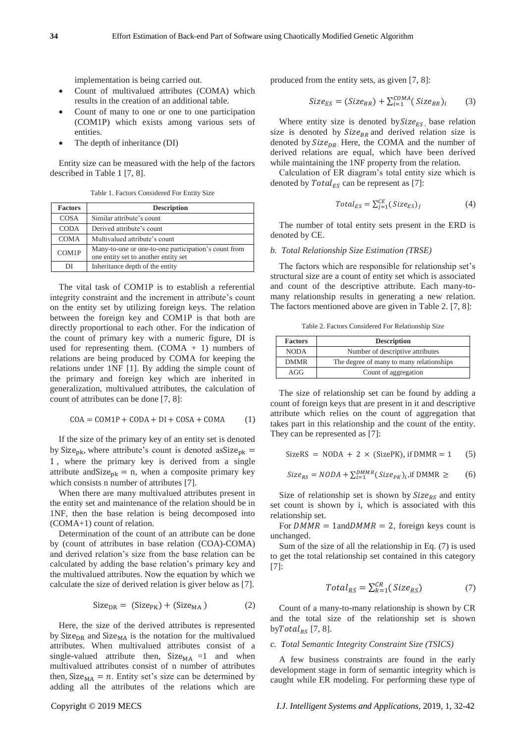- Count of multivalued attributes (COMA) which results in the creation of an additional table.
- Count of many to one or one to one participation (COM1P) which exists among various sets of entities.
- The depth of inheritance (DI)

Entity size can be measured with the help of the factors described in Table 1 [7, 8].

Table 1. Factors Considered For Entity Size

| <b>Factors</b> | <b>Description</b>                                                                           |
|----------------|----------------------------------------------------------------------------------------------|
| COSA           | Similar attribute's count                                                                    |
| <b>CODA</b>    | Derived attribute's count                                                                    |
| <b>COMA</b>    | Multivalued attribute's count                                                                |
| COM1P          | Many-to-one or one-to-one participation's count from<br>one entity set to another entity set |
| DІ             | Inheritance depth of the entity                                                              |

The vital task of COM1P is to establish a referential integrity constraint and the increment in attribute's count on the entity set by utilizing foreign keys. The relation between the foreign key and COM1P is that both are directly proportional to each other. For the indication of the count of primary key with a numeric figure, DI is used for representing them.  $(COMA + 1)$  numbers of relations are being produced by COMA for keeping the relations under 1NF [1]. By adding the simple count of the primary and foreign key which are inherited in generalization, multivalued attributes, the calculation of count of attributes can be done [7, 8]:

$$
COA = COM1P + CODA + DI + COSA + COMA \tag{1}
$$

If the size of the primary key of an entity set is denoted by Size<sub>pk</sub>, where attribute's count is denoted asSize<sub>pk</sub> = 1 , where the primary key is derived from a single attribute and Size<sub>pk</sub> = n, when a composite primary key which consists n number of attributes [7].

When there are many multivalued attributes present in the entity set and maintenance of the relation should be in 1NF, then the base relation is being decomposed into (COMA+1) count of relation.

Determination of the count of an attribute can be done by (count of attributes in base relation (COA)-COMA) and derived relation's size from the base relation can be calculated by adding the base relation's primary key and the multivalued attributes. Now the equation by which we calculate the size of derived relation is giver below as [7].

$$
Size_{DR} = (Size_{PK}) + (Size_{MA})
$$
 (2)

Here, the size of the derived attributes is represented by Size<sub>DR</sub> and Size<sub>MA</sub> is the notation for the multivalued attributes. When multivalued attributes consist of a single-valued attribute then,  $Size<sub>MA</sub> =1$  and when multivalued attributes consist of n number of attributes then, Size<sub>MA</sub> =  $n$ . Entity set's size can be determined by adding all the attributes of the relations which are produced from the entity sets, as given [7, 8]:

$$
Size_{ES} = (Size_{BR}) + \sum_{i=1}^{COMA} (Size_{BR})_i \tag{3}
$$

Where entity size is denoted by  $Size_{ES}$ , base relation size is denoted by  $Size_{BR}$  and derived relation size is denoted by  $Size<sub>DR</sub>$ . Here, the COMA and the number of derived relations are equal, which have been derived while maintaining the 1NF property from the relation.

Calculation of ER diagram's total entity size which is denoted by  $Total_{ES}$  can be represent as [7]:

$$
Total_{ES} = \sum_{j=1}^{CE} (Size_{ES})_j
$$
 (4)

The number of total entity sets present in the ERD is denoted by CE.

## *b. Total Relationship Size Estimation (TRSE)*

The factors which are responsible for relationship set's structural size are a count of entity set which is associated and count of the descriptive attribute. Each many-tomany relationship results in generating a new relation. The factors mentioned above are given in Table 2. [7, 8]:

Table 2. Factors Considered For Relationship Size

| <b>Factors</b> | <b>Description</b>                       |  |  |
|----------------|------------------------------------------|--|--|
| <b>NODA</b>    | Number of descriptive attributes         |  |  |
| <b>DMMR</b>    | The degree of many to many relationships |  |  |
| AGG            | Count of aggregation                     |  |  |

The size of relationship set can be found by adding a count of foreign keys that are present in it and descriptive attribute which relies on the count of aggregation that takes part in this relationship and the count of the entity. They can be represented as [7]:

$$
SizeRS = NODA + 2 \times (SizePK), if DMMR = 1 \quad (5)
$$

$$
Size_{RS} = NODA + \sum_{i=1}^{DMMR} (Size_{PK})_i, \text{if DMMR} \geq \qquad (6)
$$

Size of relationship set is shown by  $Size_{RS}$  and entity set count is shown by i, which is associated with this relationship set.

For  $DMMR = 1$ and  $DMMR = 2$ , foreign keys count is unchanged.

Sum of the size of all the relationship in Eq. (7) is used to get the total relationship set contained in this category [7]:

$$
Total_{RS} = \sum_{k=1}^{CR} (Size_{RS})
$$
 (7)

Count of a many-to-many relationship is shown by CR and the total size of the relationship set is shown by  $Total_{RS}$  [7, 8].

## *c. Total Semantic Integrity Constraint Size (TSICS)*

A few business constraints are found in the early development stage in form of semantic integrity which is caught while ER modeling. For performing these type of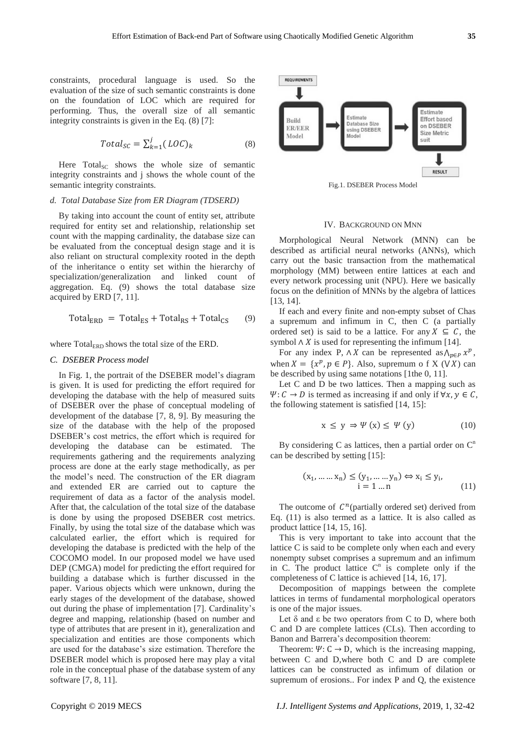constraints, procedural language is used. So the evaluation of the size of such semantic constraints is done on the foundation of LOC which are required for performing. Thus, the overall size of all semantic integrity constraints is given in the Eq. (8) [7]:

$$
Total_{SC} = \sum_{k=1}^{j} (LOC)_k
$$
 (8)

Here  $Total_{SC}$  shows the whole size of semantic integrity constraints and j shows the whole count of the semantic integrity constraints.

## *d. Total Database Size from ER Diagram (TDSERD)*

By taking into account the count of entity set, attribute required for entity set and relationship, relationship set count with the mapping cardinality, the database size can be evaluated from the conceptual design stage and it is also reliant on structural complexity rooted in the depth of the inheritance o entity set within the hierarchy of specialization/generalization and linked count of aggregation. Eq. (9) shows the total database size acquired by ERD [7, 11].

$$
Total_{ERD} = Total_{ES} + Total_{RS} + Total_{CS}
$$
 (9)

where  $Total_{\rm ERD}$  shows the total size of the ERD.

#### *C. DSEBER Process model*

In Fig. 1, the portrait of the DSEBER model's diagram is given. It is used for predicting the effort required for developing the database with the help of measured suits of DSEBER over the phase of conceptual modeling of development of the database [7, 8, 9]. By measuring the size of the database with the help of the proposed DSEBER's cost metrics, the effort which is required for developing the database can be estimated. The requirements gathering and the requirements analyzing process are done at the early stage methodically, as per the model's need. The construction of the ER diagram and extended ER are carried out to capture the requirement of data as a factor of the analysis model. After that, the calculation of the total size of the database is done by using the proposed DSEBER cost metrics. Finally, by using the total size of the database which was calculated earlier, the effort which is required for developing the database is predicted with the help of the COCOMO model. In our proposed model we have used DEP (CMGA) model for predicting the effort required for building a database which is further discussed in the paper. Various objects which were unknown, during the early stages of the development of the database, showed out during the phase of implementation [7]. Cardinality's degree and mapping, relationship (based on number and type of attributes that are present in it), generalization and specialization and entities are those components which are used for the database's size estimation. Therefore the DSEBER model which is proposed here may play a vital role in the conceptual phase of the database system of any software [7, 8, 11].



Fig.1. DSEBER Process Model

#### IV. BACKGROUND ON MNN

Morphological Neural Network (MNN) can be described as artificial neural networks (ANNs), which carry out the basic transaction from the mathematical morphology (MM) between entire lattices at each and every network processing unit (NPU). Here we basically focus on the definition of MNNs by the algebra of lattices [13, 14].

If each and every finite and non-empty subset of Chas a supremum and infimum in C, then C (a partially ordered set) is said to be a lattice. For any  $X \subseteq C$ , the symbol  $\wedge$  *X* is used for representing the infimum [14].

For any index P,  $\wedge X$  can be represented as  $\wedge_{p \in P} x^p$ , when  $X = \{x^p, p \in P\}$ . Also, supremum o f X ( $\forall X$ ) can be described by using same notations [1the 0, 11].

Let C and D be two lattices. Then a mapping such as  $\Psi: C \to D$  is termed as increasing if and only if  $\forall x, y \in C$ , the following statement is satisfied [14, 15]:

$$
x \le y \Rightarrow \Psi(x) \le \Psi(y) \tag{10}
$$

By considering C as lattices, then a partial order on  $C<sup>n</sup>$ can be described by setting [15]:

$$
(x_1, \dots, x_n) \le (y_1, \dots, y_n) \Leftrightarrow x_i \le y_i, \n i = 1 \dots n
$$
\n(11)

The outcome of  $C^n$ (partially ordered set) derived from Eq. (11) is also termed as a lattice. It is also called as product lattice [14, 15, 16].

This is very important to take into account that the lattice C is said to be complete only when each and every nonempty subset comprises a supremum and an infimum in C. The product lattice  $C<sup>n</sup>$  is complete only if the completeness of C lattice is achieved [14, 16, 17].

Decomposition of mappings between the complete lattices in terms of fundamental morphological operators is one of the major issues.

Let δ and ε be two operators from C to D, where both C and D are complete lattices (CLs). Then according to Banon and Barrera's decomposition theorem:

Theorem:  $\Psi: C \to D$ , which is the increasing mapping, between C and D,where both C and D are complete lattices can be constructed as infimum of dilation or supremum of erosions.. For index P and Q, the existence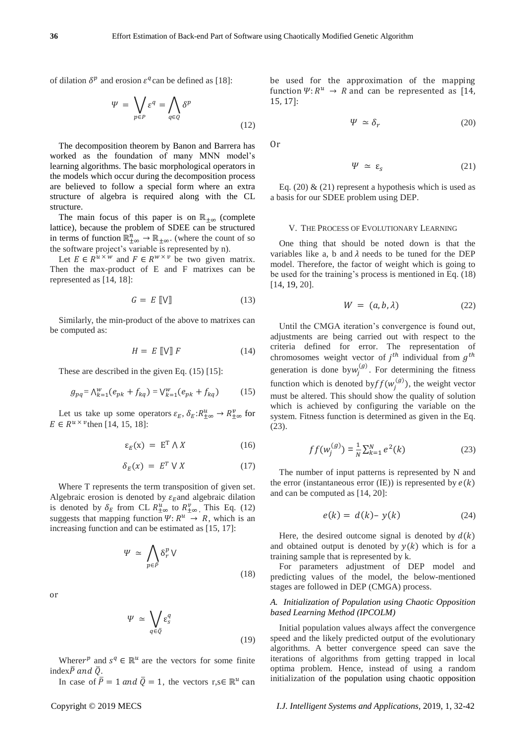of dilation  $\delta^p$  and erosion  $\varepsilon^q$  can be defined as [18]:

$$
\Psi = \bigvee_{p \in P} \varepsilon^q = \bigwedge_{q \in Q} \delta^p \tag{12}
$$

The decomposition theorem by Banon and Barrera has worked as the foundation of many MNN model's learning algorithms. The basic morphological operators in the models which occur during the decomposition process are believed to follow a special form where an extra structure of algebra is required along with the CL structure.

The main focus of this paper is on  $\mathbb{R}_{+\infty}$  (complete lattice), because the problem of SDEE can be structured in terms of function  $\mathbb{R}^n_{\pm\infty} \to \mathbb{R}_{\pm\infty}$ . (where the count of so the software project's variable is represented by n).

Let  $E \in R^{u \times w}$  and  $F \in R^{w \times v}$  be two given matrix. Then the max-product of E and F matrixes can be represented as [14, 18]:

$$
G = E \llbracket \mathbf{V} \rrbracket \tag{13}
$$

Similarly, the min-product of the above to matrixes can be computed as:

$$
H = E \llbracket \mathbf{V} \rrbracket F \tag{14}
$$

These are described in the given Eq. (15) [15]:

$$
g_{pq} = \Lambda_{k=1}^{w}(e_{pk} + f_{kq}) = \mathsf{V}_{k=1}^{w}(e_{pk} + f_{kq})
$$
 (15)

Let us take up some operators  $\varepsilon_E$ ,  $\delta_E$ : $R_{\pm\infty}^u \to R_{\pm\infty}^v$  for  $E \in R^{u \times v}$  then [14, 15, 18]:

$$
\varepsilon_E(x) = E^T \wedge X \tag{16}
$$

$$
\delta_E(x) = E^T \vee X \tag{17}
$$

Where T represents the term transposition of given set. Algebraic erosion is denoted by  $\varepsilon_E$  and algebraic dilation is denoted by  $\delta_E$  from CL  $R^u_{\pm\infty}$  to  $R^v_{\pm\infty}$ , This Eq. (12) suggests that mapping function  $\Psi: R^u \to R$ , which is an increasing function and can be estimated as [15, 17]:

$$
\Psi \simeq \bigwedge_{p \in \bar{P}} \delta_r^p \, \mathsf{V} \tag{18}
$$

or

$$
\Psi \simeq \bigvee_{q \in \bar{Q}} \varepsilon_s^q \tag{19}
$$

Where  $r^p$  and  $s^q \in \mathbb{R}^u$  are the vectors for some finite index $\bar{P}$  and  $\bar{Q}$ .

In case of  $\bar{P} = 1$  and  $\bar{Q} = 1$ , the vectors r,s∈  $\mathbb{R}^u$  can

be used for the approximation of the mapping function  $\Psi$ :  $R^u \rightarrow R$  and can be represented as [14, 15, 17]:

$$
\Psi \simeq \delta_r \tag{20}
$$

Or

$$
\Psi \simeq \varepsilon_s \tag{21}
$$

Eq. (20)  $\&$  (21) represent a hypothesis which is used as a basis for our SDEE problem using DEP.

#### V. THE PROCESS OF EVOLUTIONARY LEARNING

One thing that should be noted down is that the variables like a, b and  $\lambda$  needs to be tuned for the DEP model. Therefore, the factor of weight which is going to be used for the training's process is mentioned in Eq. (18) [14, 19, 20].

$$
W = (a, b, \lambda) \tag{22}
$$

Until the CMGA iteration's convergence is found out, adjustments are being carried out with respect to the criteria defined for error. The representation of chromosomes weight vector of  $j^{th}$  individual from  $g^{th}$ generation is done by  $w_j^{(g)}$ . For determining the fitness function which is denoted by  $ff(w_j^{(g)})$ , the weight vector must be altered. This should show the quality of solution which is achieved by configuring the variable on the system. Fitness function is determined as given in the Eq. (23).

$$
ff(w_j^{(g)}) = \frac{1}{N} \sum_{k=1}^{N} e^2(k)
$$
 (23)

The number of input patterns is represented by N and the error (instantaneous error (IE)) is represented by  $e(k)$ and can be computed as [14, 20]:

$$
e(k) = d(k) - y(k) \tag{24}
$$

Here, the desired outcome signal is denoted by  $d(k)$ and obtained output is denoted by  $y(k)$  which is for a training sample that is represented by k.

For parameters adjustment of DEP model and predicting values of the model, the below-mentioned stages are followed in DEP (CMGA) process.

## *A. Initialization of Population using Chaotic Opposition based Learning Method (IPCOLM)*

Initial population values always affect the convergence speed and the likely predicted output of the evolutionary algorithms. A better convergence speed can save the iterations of algorithms from getting trapped in local optima problem. Hence, instead of using a random initialization of the population using chaotic opposition

Copyright © 2019 MECS *I.J. Intelligent Systems and Applications,* 2019, 1, 32-42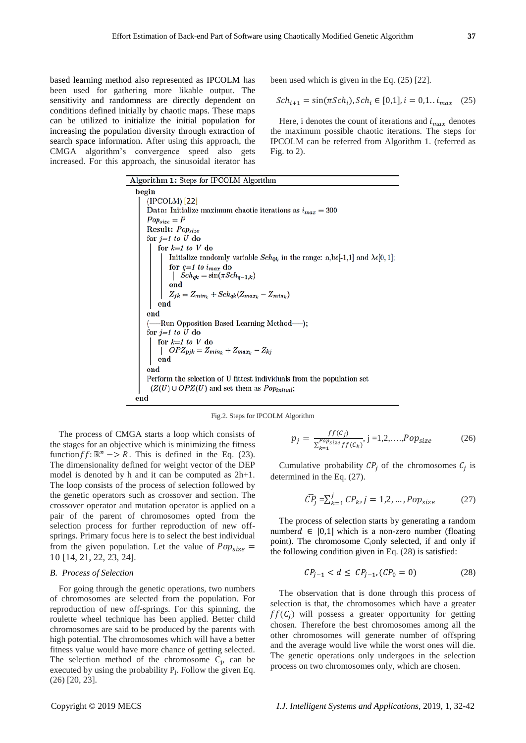based learning method also represented as IPCOLM has been used for gathering more likable output. The sensitivity and randomness are directly dependent on conditions defined initially by chaotic maps. These maps can be utilized to initialize the initial population for increasing the population diversity through extraction of search space information. After using this approach, the CMGA algorithm's convergence speed also gets increased. For this approach, the sinusoidal iterator has

been used which is given in the Eq. (25) [22].

$$
Sch_{i+1} = \sin(\pi Sch_i), Sch_i \in [0,1], i = 0,1..i_{max} \quad (25)
$$

Here, i denotes the count of iterations and  $i_{max}$  denotes the maximum possible chaotic iterations. The steps for IPCOLM can be referred from Algorithm 1. (referred as Fig. to  $2$ ).

| Algorithm 1: Steps for IPCOLM Algorithm                                                                           |
|-------------------------------------------------------------------------------------------------------------------|
| begin                                                                                                             |
| (IPCOLM)[22]                                                                                                      |
| Data: Initialize maximum chaotic iterations as $i_{max} = 300$                                                    |
| $Pop_{size}=P$                                                                                                    |
| Result: Popsize                                                                                                   |
| for $j=1$ to U do                                                                                                 |
| for $k=1$ to V do                                                                                                 |
| Initialize randomly variable $Sch_{0k}$ in the range: a,be[-1,1] and $\lambda \epsilon [0, 1]$ ;                  |
| for $q=1$ to $i_{max}$ do                                                                                         |
| $\left  \quad Sch_{qk} = \sin(\pi Sch_{q-1,k}) \right $                                                           |
|                                                                                                                   |
| end<br>$Z_{jk} = Z_{min_k} + Sch_{qk}(Z_{max_k} - Z_{min_k})$                                                     |
| end                                                                                                               |
| end                                                                                                               |
| (——Run Opposition Based Learning Method——);                                                                       |
| for $j=1$ to U do                                                                                                 |
| $\begin{array}{l} \mbox{for $k=1$ to $V$ do}\\ \mid \ \ O P Z_{pjk} = Z_{min_k} + Z_{max_k} - Z_{kj} \end{array}$ |
|                                                                                                                   |
| end                                                                                                               |
| end                                                                                                               |
| Perform the selection of U fittest individuals from the population set                                            |
| $(Z(U) \cup OPZ(U)$ and set them as $Popinitial$ ;                                                                |
| end                                                                                                               |

Fig.2. Steps for IPCOLM Algorithm

The process of CMGA starts a loop which consists of the stages for an objective which is minimizing the fitness function  $ff: \mathbb{R}^n \to R$ . This is defined in the Eq. (23). The dimensionality defined for weight vector of the DEP model is denoted by h and it can be computed as 2h+1. The loop consists of the process of selection followed by the genetic operators such as crossover and section. The crossover operator and mutation operator is applied on a pair of the parent of chromosomes opted from the selection process for further reproduction of new offsprings. Primary focus here is to select the best individual from the given population. Let the value of  $Pop_{size} =$ 10 [14, 21, 22, 23, 24].

#### *B. Process of Selection*

For going through the genetic operations, two numbers of chromosomes are selected from the population. For reproduction of new off-springs. For this spinning, the roulette wheel technique has been applied. Better child chromosomes are said to be produced by the parents with high potential. The chromosomes which will have a better fitness value would have more chance of getting selected. The selection method of the chromosome  $C_i$ , can be executed by using the probability  $P_j$ . Follow the given Eq. (26) [20, 23].

$$
p_j = \frac{f f(c_j)}{\sum_{k=1}^{Popsize} f f(c_k)}, j = 1, 2, \dots, Pop_{size}
$$
 (26)

Cumulative probability  $CP_j$  of the chromosomes  $C_j$  is determined in the Eq. (27).

(*)* (*)* (*)* 

$$
\widehat{CP}_j = \sum_{k=1}^j CP_k, j = 1, 2, \dots, Pop_{size}
$$
 (27)

The process of selection starts by generating a random number  $d$  ∈ | 0,1| which is a non-zero number (floating point). The chromosome C<sub>i</sub>only selected, if and only if the following condition given in Eq. (28) is satisfied:

$$
CP_{j-1} < d \leq CP_{j-1}, (CP_0 = 0) \tag{28}
$$

The observation that is done through this process of selection is that, the chromosomes which have a greater  $ff(\mathcal{C}_i)$  will possess a greater opportunity for getting chosen. Therefore the best chromosomes among all the other chromosomes will generate number of offspring and the average would live while the worst ones will die. The genetic operations only undergoes in the selection process on two chromosomes only, which are chosen.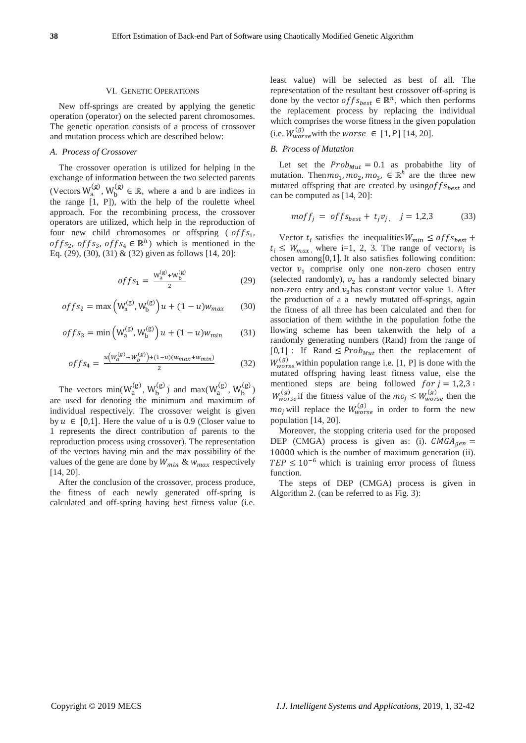#### VI. GENETIC OPERATIONS

New off-springs are created by applying the genetic operation (operator) on the selected parent chromosomes. The genetic operation consists of a process of crossover and mutation process which are described below:

#### *A. Process of Crossover*

The crossover operation is utilized for helping in the exchange of information between the two selected parents (Vectors  $W_a^{(g)}$ ,  $W_b^{(g)} \in \mathbb{R}$ , where a and b are indices in the range [1, P]), with the help of the roulette wheel approach. For the recombining process, the crossover operators are utilized, which help in the reproduction of four new child chromosomes or offspring ( $offs<sub>1</sub>$ , of  $fs_2$ , of  $fs_3$ , of  $fs_4 \in \mathbb{R}^h$ ) which is mentioned in the Eq. (29), (30), (31) & (32) given as follows [14, 20]:

$$
offs_1 = \frac{W_a^{(g)} + W_b^{(g)}}{2} \tag{29}
$$

$$
offs_2 = \max(W_a^{(g)}, W_b^{(g)})u + (1 - u)w_{max}
$$
 (30)

$$
offs_3 = \min\left(W_a^{(g)}, W_b^{(g)}\right)u + (1 - u)w_{min} \tag{31}
$$

$$
offs_4 = \frac{u(w_a^{(g)} + w_b^{(g)}) + (1 - u)(w_{max} + w_{min})}{2}
$$
(32)

The vectors  $\min(W_a^{(g)}, W_b^{(g)})$  and  $\max(W_a^{(g)}, W_b^{(g)})$ are used for denoting the minimum and maximum of individual respectively. The crossover weight is given by  $u \in [0,1]$ . Here the value of u is 0.9 (Closer value to 1 represents the direct contribution of parents to the reproduction process using crossover). The representation of the vectors having min and the max possibility of the values of the gene are done by  $W_{min}$  &  $W_{max}$  respectively [14, 20].

After the conclusion of the crossover, process produce, the fitness of each newly generated off-spring is calculated and off-spring having best fitness value (i.e.

least value) will be selected as best of all. The representation of the resultant best crossover off-spring is done by the vector  $offS_{best} \in \mathbb{R}^n$ , which then performs the replacement process by replacing the individual which comprises the worse fitness in the given population (i.e.  $W_{worse}^{(g)}$  with the worse  $\in [1, P]$  [14, 20].

## *B. Process of Mutation*

Let set the  $Prob_{Mut} = 0.1$  as probabithe lity of mutation. Then  $mo_1$ ,  $mo_2$ ,  $mo_3$ ,  $\in \mathbb{R}^h$  are the three new mutated offspring that are created by using of  $f_{\text{S}}$  and can be computed as [14, 20]:

$$
moff_j = offs_{best} + t_j v_j, \quad j = 1,2,3 \tag{33}
$$

Vector  $t_i$  satisfies the inequalities  $W_{min} \leq of f s_{best} +$  $t_i \leq W_{max}$ , where i=1, 2, 3. The range of vector  $v_i$  is chosen among $[0,1]$ . It also satisfies following condition: vector  $v_1$  comprise only one non-zero chosen entry (selected randomly),  $v_2$  has a randomly selected binary non-zero entry and  $v_3$  has constant vector value 1. After the production of a a newly mutated off-springs, again the fitness of all three has been calculated and then for association of them withthe in the population fothe the llowing scheme has been takenwith the help of a randomly generating numbers (Rand) from the range of  $[0,1]$ : If Rand  $\leq$  *Prob<sub>Mut</sub>* then the replacement of  $W_{worse}^{(g)}$  within population range i.e. [1, P] is done with the mutated offspring having least fitness value, else the mentioned steps are being followed  $for j = 1,2,3$ :  $W_{worse}^{(g)}$  if the fitness value of the  $mo_j \leq W_{worse}^{(g)}$  then the  $mo_j$  will replace the  $W_{worse}^{(g)}$  in order to form the new population [14, 20].

Moreover, the stopping criteria used for the proposed DEP (CMGA) process is given as: (i).  $CMGA_{gen}$  = 10000 which is the number of maximum generation (ii).  $TEP \leq 10^{-6}$  which is training error process of fitness function.

The steps of DEP (CMGA) process is given in Algorithm 2. (can be referred to as Fig. 3):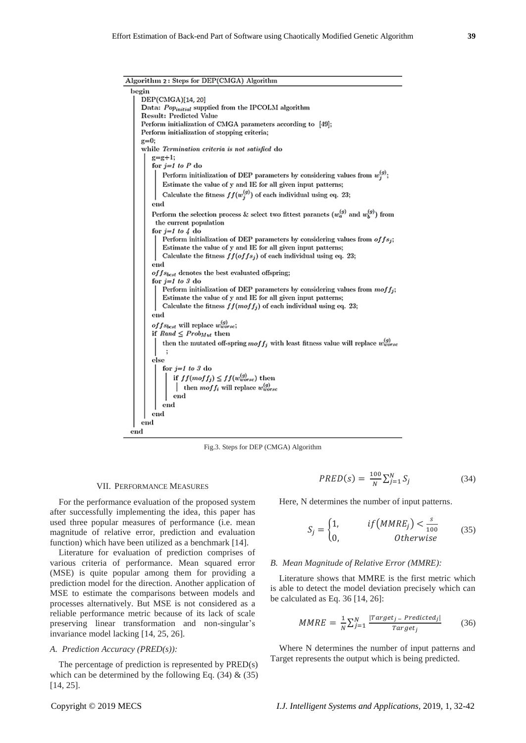Algorithm 2: Steps for DEP(CMGA) Algorithm

| begin                                                                                                                     |
|---------------------------------------------------------------------------------------------------------------------------|
| DEP(CMGA)[14, 20]                                                                                                         |
| Data: Popinitial supplied from the IPCOLM algorithm                                                                       |
| Result: Predicted Value                                                                                                   |
| Perform initialization of CMGA parameters according to [49];                                                              |
| Perform initialization of stopping criteria;                                                                              |
| $g=0;$                                                                                                                    |
| while Termination criteria is not satisfied do                                                                            |
| $g=g+1$ ;                                                                                                                 |
| for $j=1$ to P do                                                                                                         |
| Perform initialization of DEP parameters by considering values from $w_i^{(g)}$ ;                                         |
| Estimate the value of y and IE for all given input patterns;                                                              |
| Calculate the fitness $ff(w_j^{(g)})$ of each individual using eq. 23;                                                    |
| end                                                                                                                       |
| Perform the selection process & select two fittest paranets $(w_a^{(g)}$ and $w_b^{(g)}$ ) from<br>the current population |
| for $j=1$ to $\lambda$ do                                                                                                 |
| Perform initialization of DEP parameters by considering values from $offs_i$ ;                                            |
| Estimate the value of y and IE for all given input patterns;                                                              |
| Calculate the fitness $ff(offs_j)$ of each individual using eq. 23;                                                       |
| end                                                                                                                       |
| $offs_{best}$ denotes the best evaluated offspring;                                                                       |
| for $j=1$ to 3 do                                                                                                         |
| Perform initialization of DEP parameters by considering values from $mof f_i$ ;                                           |
| Estimate the value of y and IE for all given input patterns;                                                              |
| Calculate the fitness $ff(moff_j)$ of each individual using eq. 23;                                                       |
| end                                                                                                                       |
| of f s <sub>bcst</sub> will replace $w_{worsc}^{(g)}$ ;                                                                   |
| if $Rand \leq Prob_{Mult}$ then                                                                                           |
| then the mutated off-spring $moff_j$ with least fitness value will replace $w_{worse}^{(g)}$                              |
| else                                                                                                                      |
| for <i>j=1 to 3</i> do                                                                                                    |
| if $ff(moff_j) \leq ff(w_{worse}^{(g)})$ then<br>  then $moff_i$ will replace $w_{worse}^{(g)}$                           |
|                                                                                                                           |
|                                                                                                                           |
| end                                                                                                                       |
| end                                                                                                                       |
| end                                                                                                                       |
| end                                                                                                                       |
|                                                                                                                           |

Fig.3. Steps for DEP (CMGA) Algorithm

## VII. PERFORMANCE MEASURES

For the performance evaluation of the proposed system after successfully implementing the idea, this paper has used three popular measures of performance (i.e. mean magnitude of relative error, prediction and evaluation function) which have been utilized as a benchmark [14].

Literature for evaluation of prediction comprises of various criteria of performance. Mean squared error (MSE) is quite popular among them for providing a prediction model for the direction. Another application of MSE to estimate the comparisons between models and processes alternatively. But MSE is not considered as a reliable performance metric because of its lack of scale preserving linear transformation and non-singular's invariance model lacking [14, 25, 26].

#### *A. Prediction Accuracy (PRED(s)):*

The percentage of prediction is represented by PRED(s) which can be determined by the following Eq.  $(34)$  &  $(35)$ [14, 25].

$$
PRED(s) = \frac{100}{N} \sum_{j=1}^{N} S_j \tag{34}
$$

Here, N determines the number of input patterns.

$$
S_j = \begin{cases} 1, & if(MMRE_j) < \frac{s}{100} \\ 0, & Otherwise \end{cases} \tag{35}
$$

#### *B. Mean Magnitude of Relative Error (MMRE):*

Literature shows that MMRE is the first metric which is able to detect the model deviation precisely which can be calculated as Eq. 36 [14, 26]:

$$
MMRE = \frac{1}{N} \sum_{j=1}^{N} \frac{|Target_j - Predicted_j|}{Target_j}
$$
(36)

Where N determines the number of input patterns and Target represents the output which is being predicted.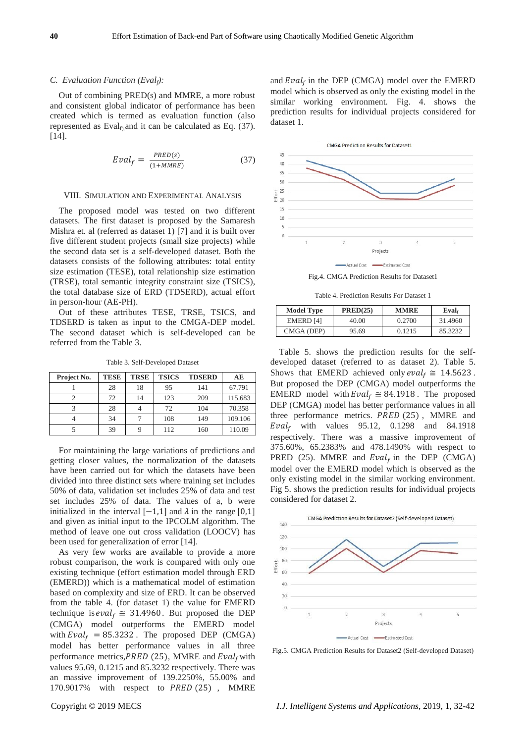#### *C. Evaluation Function (Evalf):*

Out of combining PRED(s) and MMRE, a more robust and consistent global indicator of performance has been created which is termed as evaluation function (also represented as  $Eval<sub>f</sub>$  and it can be calculated as Eq. (37). [14].

$$
Eval_f = \frac{PRED(s)}{(1+MMRE)}\tag{37}
$$

#### VIII. SIMULATION AND EXPERIMENTAL ANALYSIS

The proposed model was tested on two different datasets. The first dataset is proposed by the Samaresh Mishra et. al (referred as dataset 1) [7] and it is built over five different student projects (small size projects) while the second data set is a self-developed dataset. Both the datasets consists of the following attributes: total entity size estimation (TESE), total relationship size estimation (TRSE), total semantic integrity constraint size (TSICS), the total database size of ERD (TDSERD), actual effort in person-hour (AE-PH).

Out of these attributes TESE, TRSE, TSICS, and TDSERD is taken as input to the CMGA-DEP model. The second dataset which is self-developed can be referred from the Table 3.

Table 3. Self-Developed Dataset

| Project No. | <b>TESE</b> | <b>TRSE</b> | <b>TSICS</b> | <b>TDSERD</b> | AE      |
|-------------|-------------|-------------|--------------|---------------|---------|
|             | 28          | 18          | 95           | 141           | 67.791  |
|             | 72          | 14          | 123          | 209           | 115.683 |
|             | 28          |             | 72           | 104           | 70.358  |
|             | 34          |             | 108          | 149           | 109.106 |
|             | 39          |             | 112          | 160           | 110.09  |

For maintaining the large variations of predictions and getting closer values, the normalization of the datasets have been carried out for which the datasets have been divided into three distinct sets where training set includes 50% of data, validation set includes 25% of data and test set includes 25% of data. The values of a, b were initialized in the interval  $[-1,1]$  and λ in the range [0,1] and given as initial input to the IPCOLM algorithm. The method of leave one out cross validation (LOOCV) has been used for generalization of error [14].

As very few works are available to provide a more robust comparison, the work is compared with only one existing technique (effort estimation model through ERD (EMERD)) which is a mathematical model of estimation based on complexity and size of ERD. It can be observed from the table 4. (for dataset 1) the value for EMERD technique is  $eval_f \cong 31.4960$ . But proposed the DEP (CMGA) model outperforms the EMERD model with  $Eval_f = 85.3232$ . The proposed DEP (CMGA) model has better performance values in all three performance metrics, PRED (25), MMRE and  $Eval<sub>f</sub>$  with values 95.69, 0.1215 and 85.3232 respectively. There was an massive improvement of 139.2250%, 55.00% and 170.9017% with respect to PRED (25), MMRE and  $Eval<sub>f</sub>$  in the DEP (CMGA) model over the EMERD model which is observed as only the existing model in the similar working environment. Fig. 4. shows the prediction results for individual projects considered for dataset 1.



Table 4. Prediction Results For Dataset 1

| <b>Model Type</b> | PRED(25) | <b>MMRE</b> | Eval <sub>f</sub> |
|-------------------|----------|-------------|-------------------|
| EMERD [4]         | 40.00    | 0.2700      | 31.4960           |
| CMGA (DEP)        | 95.69    | 0.1215      | 85.3232           |

Table 5. shows the prediction results for the selfdeveloped dataset (referred to as dataset 2). Table 5. Shows that EMERD achieved only  $eval_f \cong 14.5623$ . But proposed the DEP (CMGA) model outperforms the EMERD model with  $Eval_f \cong 84.1918$ . The proposed DEP (CMGA) model has better performance values in all three performance metrics.  $PRED(25)$ , MMRE and Eval<sub>f</sub> with values 95.12, 0.1298 and 84.1918 respectively. There was a massive improvement of 375.60%, 65.2383% and 478.1490% with respect to PRED (25). MMRE and  $Eval<sub>f</sub>$  in the DEP (CMGA) model over the EMERD model which is observed as the only existing model in the similar working environment. Fig 5. shows the prediction results for individual projects considered for dataset 2.



Fig.5. CMGA Prediction Results for Dataset2 (Self-developed Dataset)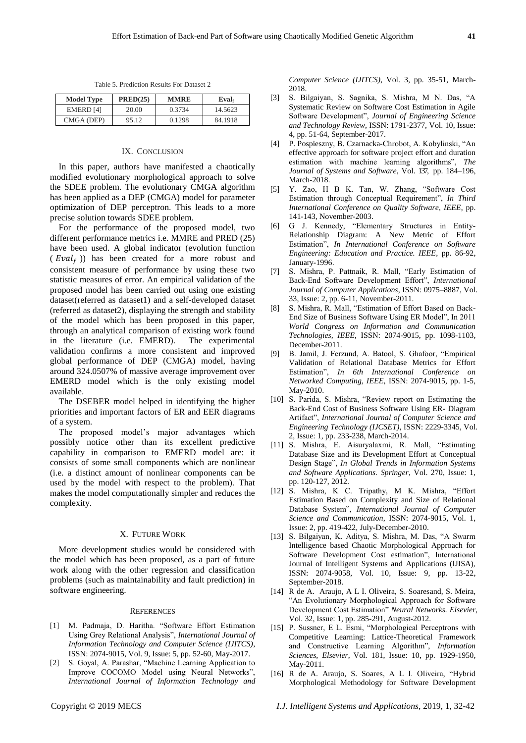Table 5. Prediction Results For Dataset 2

| <b>Model Type</b> | PRED(25) | <b>MMRE</b> | Eval.   |
|-------------------|----------|-------------|---------|
| <b>EMERD</b> [4]  | 20.00    | 0.3734      | 14.5623 |
| CMGA (DEP)        | 95.12    | 0.1298      | 84.1918 |

#### IX. CONCLUSION

In this paper, authors have manifested a chaotically modified evolutionary morphological approach to solve the SDEE problem. The evolutionary CMGA algorithm has been applied as a DEP (CMGA) model for parameter optimization of DEP perceptron. This leads to a more precise solution towards SDEE problem.

For the performance of the proposed model, two different performance metrics i.e. MMRE and PRED (25) have been used. A global indicator (evolution function  $(Eval<sub>f</sub>)$ ) has been created for a more robust and consistent measure of performance by using these two statistic measures of error. An empirical validation of the proposed model has been carried out using one existing dataset(referred as dataset1) and a self-developed dataset (referred as dataset2), displaying the strength and stability of the model which has been proposed in this paper, through an analytical comparison of existing work found in the literature (i.e. EMERD). The experimental validation confirms a more consistent and improved global performance of DEP (CMGA) model, having around 324.0507% of massive average improvement over EMERD model which is the only existing model available.

The DSEBER model helped in identifying the higher priorities and important factors of ER and EER diagrams of a system.

The proposed model's major advantages which possibly notice other than its excellent predictive capability in comparison to EMERD model are: it consists of some small components which are nonlinear (i.e. a distinct amount of nonlinear components can be used by the model with respect to the problem). That makes the model computationally simpler and reduces the complexity.

#### X. FUTURE WORK

More development studies would be considered with the model which has been proposed, as a part of future work along with the other regression and classification problems (such as maintainability and fault prediction) in software engineering.

#### **REFERENCES**

- [1] M. Padmaja, D. Haritha. "Software Effort Estimation Using Grey Relational Analysis", *International Journal of Information Technology and Computer Science (IJITCS)*, ISSN: 2074-9015, Vol. 9, Issue: 5, pp. 52-60, May-2017.
- [2] S. Goyal, A. Parashar, "Machine Learning Application to Improve COCOMO Model using Neural Networks", *International Journal of Information Technology and*

*Computer Science (IJITCS)*, Vol. 3, pp. 35-51, March-2018.

- [3] S. Bilgaiyan, S. Sagnika, S. Mishra, M N. Das, "A Systematic Review on Software Cost Estimation in Agile Software Development", *Journal of Engineering Science and Technology Review*, ISSN: 1791-2377, Vol. 10, Issue: 4, pp. 51-64, September-2017.
- [4] P. Pospieszny, B. Czarnacka-Chrobot, A. Kobylinski, "An effective approach for software project effort and duration estimation with machine learning algorithms", *The Journal of Systems and Software*, Vol. 137, pp. 184–196, March-2018.
- [5] Y. Zao, H B K. Tan, W. Zhang, "Software Cost Estimation through Conceptual Requirement", *In Third International Conference on Quality Software, IEEE*, pp. 141-143, November-2003.
- [6] G J. Kennedy, "Elementary Structures in Entity-Relationship Diagram: A New Metric of Effort Estimation", *In International Conference on Software Engineering: Education and Practice. IEEE*, pp. 86-92, January-1996.
- [7] S. Mishra, P. Pattnaik, R. Mall, "Early Estimation of Back-End Software Development Effort", *International Journal of Computer Applications*, ISSN: 0975–8887, Vol. 33, Issue: 2, pp. 6-11, November-2011.
- [8] S. Mishra, R. Mall, "Estimation of Effort Based on Back-End Size of Business Software Using ER Model", In 2011 *World Congress on Information and Communication Technologies, IEEE,* ISSN: 2074-9015, pp. 1098-1103, December-2011.
- [9] B. Jamil, J. Ferzund, A. Batool, S. Ghafoor, "Empirical Validation of Relational Database Metrics for Effort Estimation", *In 6th International Conference on Networked Computing, IEEE*, ISSN: 2074-9015, pp. 1-5, May-2010.
- [10] S. Parida, S. Mishra, "Review report on Estimating the Back-End Cost of Business Software Using ER- Diagram Artifact", *International Journal of Computer Science and Engineering Technology (IJCSET)*, ISSN: 2229-3345, Vol. 2, Issue: 1, pp. 233-238, March-2014.
- [11] S. Mishra, E. Aisuryalaxmi, R. Mall, "Estimating Database Size and its Development Effort at Conceptual Design Stage", *In Global Trends in Information Systems and Software Applications. Springer*, Vol. 270, Issue: 1, pp. 120-127, 2012.
- [12] S. Mishra, K C. Tripathy, M K. Mishra, "Effort Estimation Based on Complexity and Size of Relational Database System", *International Journal of Computer Science and Communication*, ISSN: 2074-9015, Vol. 1, Issue: 2, pp. 419-422, July-December-2010.
- [13] S. Bilgaiyan, K. Aditya, S. Mishra, M. Das, "A Swarm Intelligence based Chaotic Morphological Approach for Software Development Cost estimation", International Journal of Intelligent Systems and Applications (IJISA), ISSN: 2074-9058, Vol. 10, Issue: 9, pp. 13-22, September-2018.
- [14] R de A. Araujo, A L I. Oliveira, S. Soaresand, S. Meira, "An Evolutionary Morphological Approach for Software Development Cost Estimation" *Neural Networks. Elsevier*, Vol. 32, Issue: 1, pp. 285-291, August-2012.
- [15] P. Sussner, E L. Esmi, "Morphological Perceptrons with Competitive Learning: Lattice-Theoretical Framework and Constructive Learning Algorithm", *[Information](https://www.sciencedirect.com/science/journal/00200255)  [Sciences,](https://www.sciencedirect.com/science/journal/00200255) Elsevier*, Vol. 181, Issue: 10, pp. 1929-1950, May-2011.
- [16] R de A. Araujo, S. Soares, A L I. Oliveira, "Hybrid Morphological Methodology for Software Development